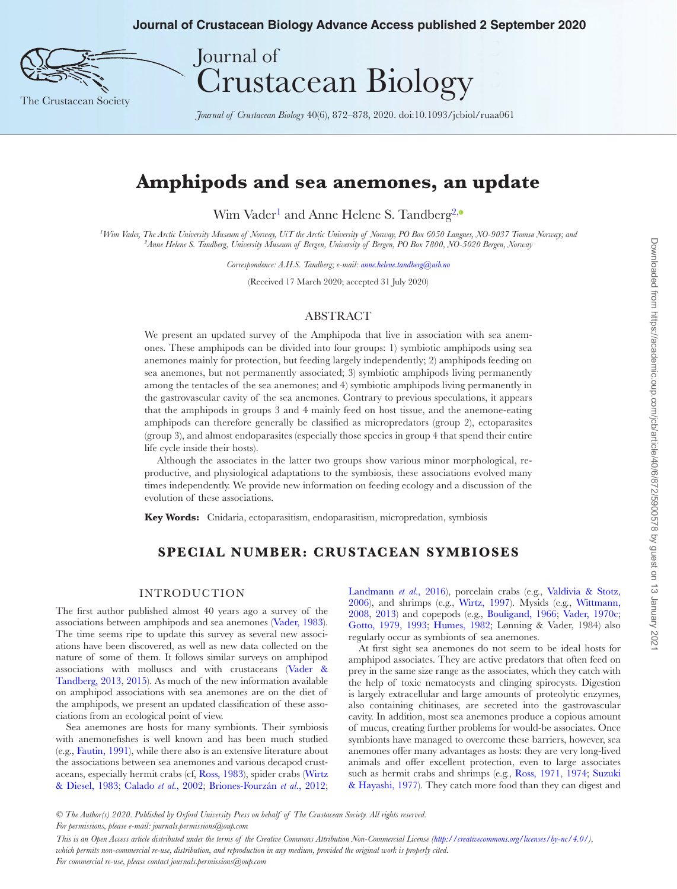# Journal of Crustacean Biology

*Journal of Crustacean Biology* 40(6), 872–878, 2020. doi:10.1093/jcbiol/ruaa061

# **Amphipods and sea anemones, an update**

Wim Vader<sup>1</sup> and Anne Helene S. Tandberg<sup>2,®</sup>

<span id="page-0-0"></span>*1Wim Vader, The Arctic University Museum of Norway, UiT the Arctic University of Norway, PO Box 6050 Langnes, NO-9037 Tromsø Norway; and 2Anne Helene S. Tandberg, University Museum of Bergen, University of Bergen, PO Box 7800, NO-5020 Bergen, Norway*

<span id="page-0-1"></span>*Correspondence: A.H.S. Tandberg; e-mail: [anne.helene.tandberg@uib.no](mailto:anne.helene.tandberg@uib.no?subject=)*

(Received 17 March 2020; accepted 31 July 2020)

#### ABSTRACT

We present an updated survey of the Amphipoda that live in association with sea anemones. These amphipods can be divided into four groups: 1) symbiotic amphipods using sea anemones mainly for protection, but feeding largely independently; 2) amphipods feeding on sea anemones, but not permanently associated; 3) symbiotic amphipods living permanently among the tentacles of the sea anemones; and 4) symbiotic amphipods living permanently in the gastrovascular cavity of the sea anemones. Contrary to previous speculations, it appears that the amphipods in groups 3 and 4 mainly feed on host tissue, and the anemone-eating amphipods can therefore generally be classified as micropredators (group 2), ectoparasites (group 3), and almost endoparasites (especially those species in group 4 that spend their entire life cycle inside their hosts).

Although the associates in the latter two groups show various minor morphological, reproductive, and physiological adaptations to the symbiosis, these associations evolved many times independently. We provide new information on feeding ecology and a discussion of the evolution of these associations.

**Key Words:** Cnidaria, ectoparasitism, endoparasitism, micropredation, symbiosis

## **SPECIAL NUMBER: CRUSTACEAN SYMBIOSES**

### INTRODUCTION

The first author published almost 40 years ago a survey of the associations between amphipods and sea anemones ([Vader, 1983](#page-5-0)). The time seems ripe to update this survey as several new associations have been discovered, as well as new data collected on the nature of some of them. It follows similar surveys on amphipod associations with molluscs and with crustaceans ([Vader &](#page-6-0)  [Tandberg, 2013,](#page-6-0) [2015](#page-6-1)). As much of the new information available on amphipod associations with sea anemones are on the diet of the amphipods, we present an updated classification of these associations from an ecological point of view.

Sea anemones are hosts for many symbionts. Their symbiosis with anemonefishes is well known and has been much studied (e.g., [Fautin, 1991](#page-4-0)), while there also is an extensive literature about the associations between sea anemones and various decapod crustaceans, especially hermit crabs (cf, [Ross, 1983](#page-5-1)), spider crabs [\(Wirtz](#page-6-2)  [& Diesel, 1983](#page-6-2); [Calado](#page-4-1) *et al.*, 2002; [Briones-Fourzán](#page-4-2) *et al.*, 2012;

[Landmann](#page-5-2) *et al.*, 2016), porcelain crabs (e.g., [Valdivia & Stotz,](#page-6-3) [2006\)](#page-6-3), and shrimps (e.g., [Wirtz, 1997\)](#page-6-4). Mysids (e.g., [Wittmann,](#page-6-5) [2008,](#page-6-5) [2013](#page-6-6)) and copepods (e.g., [Bouligand, 1966;](#page-4-3) [Vader, 1970c;](#page-5-3) [Gotto, 1979,](#page-4-4) [1993;](#page-4-5) [Humes, 1982](#page-4-6); Lønning & Vader, 1984) also regularly occur as symbionts of sea anemones.

At first sight sea anemones do not seem to be ideal hosts for amphipod associates. They are active predators that often feed on prey in the same size range as the associates, which they catch with the help of toxic nematocysts and clinging spirocysts. Digestion is largely extracellular and large amounts of proteolytic enzymes, also containing chitinases, are secreted into the gastrovascular cavity. In addition, most sea anemones produce a copious amount of mucus, creating further problems for would-be associates. Once symbionts have managed to overcome these barriers, however, sea anemones offer many advantages as hosts: they are very long-lived animals and offer excellent protection, even to large associates such as hermit crabs and shrimps (e.g., [Ross, 1971,](#page-5-4) [1974](#page-5-5); [Suzuki](#page-5-6) [& Hayashi, 1977\)](#page-5-6). They catch more food than they can digest and

*© The Author(s) 2020. Published by Oxford University Press on behalf of The Crustacean Society. All rights reserved.* 



The Crustacean Society

*For permissions, please e-mail: journals.permissions@oup.com*

*This is an Open Access article distributed under the terms of the Creative Commons Attribution Non-Commercial License ([http://creativecommons.org/licenses/by-nc/4.0/\)](http://creativecommons.org/licenses/by-nc/4.0/), which permits non-commercial re-use, distribution, and reproduction in any medium, provided the original work is properly cited. For commercial re-use, please contact journals.permissions@oup.com*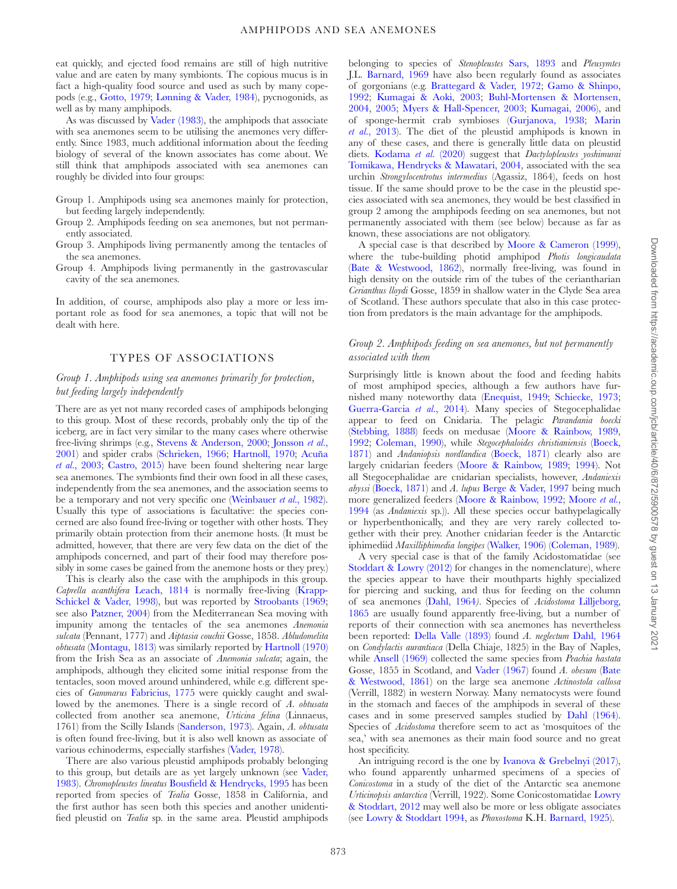eat quickly, and ejected food remains are still of high nutritive value and are eaten by many symbionts. The copious mucus is in fact a high-quality food source and used as such by many copepods (e.g., [Gotto, 1979](#page-4-4); [Lønning & Vader, 1984](#page-5-7)), pycnogonids, as well as by many amphipods.

As was discussed by [Vader \(1983\)](#page-5-0), the amphipods that associate with sea anemones seem to be utilising the anemones very differently. Since 1983, much additional information about the feeding biology of several of the known associates has come about. We still think that amphipods associated with sea anemones can roughly be divided into four groups:

- Group 1. Amphipods using sea anemones mainly for protection, but feeding largely independently.
- Group 2. Amphipods feeding on sea anemones, but not permanently associated.
- Group 3. Amphipods living permanently among the tentacles of the sea anemones.
- Group 4. Amphipods living permanently in the gastrovascular cavity of the sea anemones.

In addition, of course, amphipods also play a more or less important role as food for sea anemones, a topic that will not be dealt with here.

#### TYPES OF ASSOCIATIONS

#### *Group 1. Amphipods using sea anemones primarily for protection, but feeding largely independently*

There are as yet not many recorded cases of amphipods belonging to this group. Most of these records, probably only the tip of the iceberg, are in fact very similar to the many cases where otherwise free-living shrimps (e.g., [Stevens & Anderson, 2000](#page-5-8); [Jonsson](#page-4-7) *et al.*, [2001\)](#page-4-7) and spider crabs [\(Schrieken, 1966](#page-5-9); [Hartnoll, 1970](#page-4-8); [Acuña](#page-4-9)  *et al.*[, 2003](#page-4-9); [Castro, 2015](#page-4-10)) have been found sheltering near large sea anemones. The symbionts find their own food in all these cases, independently from the sea anemones, and the association seems to be a temporary and not very specific one ([Weinbauer](#page-6-7) *et al.*, 1982). Usually this type of associations is facultative: the species concerned are also found free-living or together with other hosts. They primarily obtain protection from their anemone hosts. (It must be admitted, however, that there are very few data on the diet of the amphipods concerned, and part of their food may therefore possibly in some cases be gained from the anemone hosts or they prey.)

This is clearly also the case with the amphipods in this group. *Caprella acanthifera* [Leach, 1814](#page-5-10) is normally free-living ([Krapp-](#page-4-11)[Schickel & Vader, 1998\)](#page-4-11), but was reported by [Stroobants \(1969](#page-5-11); see also [Patzner, 2004\)](#page-5-12) from the Mediterranean Sea moving with impunity among the tentacles of the sea anemones *Anemonia sulcata* (Pennant, 1777) and *Aiptasia couchii* Gosse, 1858. *Abludomelita obtusata* [\(Montagu, 1813](#page-5-13)) was similarly reported by [Hartnoll \(1970\)](#page-4-8) from the Irish Sea as an associate of *Anemonia sulcata*; again, the amphipods, although they elicited some initial response from the tentacles, soon moved around unhindered, while e.g. different species of *Gammarus* [Fabricius, 1775](#page-4-12) were quickly caught and swallowed by the anemones. There is a single record of *A. obtusata* collected from another sea anemone, *Urticina felina* (Linnaeus, 1761) from the Scilly Islands [\(Sanderson, 1973](#page-5-14)). Again*, A. obtusata* is often found free-living, but it is also well known as associate of various echinoderms, especially starfishes [\(Vader, 1978\)](#page-5-15).

There are also various pleustid amphipods probably belonging to this group, but details are as yet largely unknown (see [Vader,](#page-5-0)  [1983](#page-5-0)). *Chromopleustes lineatus* [Bousfield & Hendrycks, 1995](#page-4-13) has been reported from species of *Tealia* Gosse, 1858 in California, and the first author has seen both this species and another unidentified pleustid on *Tealia* sp. in the same area. Pleustid amphipods

belonging to species of *Stenopleustes* [Sars, 1893](#page-5-16) and *Pleusymtes* J.L. [Barnard, 1969](#page-4-14) have also been regularly found as associates of gorgonians (e.g. [Brattegard & Vader, 1972;](#page-4-15) [Gamo & Shinpo,](#page-4-16) [1992;](#page-4-16) [Kumagai & Aoki, 2003;](#page-5-17) [Buhl-Mortensen & Mortensen,](#page-4-17) [2004,](#page-4-17) [2005](#page-4-18); [Myers & Hall-Spencer, 2003](#page-5-18); [Kumagai, 2006](#page-5-19)), and of sponge-hermit crab symbioses [\(Gurjanova, 1938](#page-4-19); [Marin](#page-5-20) *et al.*[, 2013\)](#page-5-20). The diet of the pleustid amphipods is known in any of these cases, and there is generally little data on pleustid diets. [Kodama](#page-4-20) *et al.* (2020) suggest that *Dactylopleustes yoshimurai* [Tomikawa, Hendrycks & Mawatari, 2004](#page-5-21), associated with the sea urchin *Strongylocentrotus intermedius* (Agassiz, 1864), feeds on host tissue. If the same should prove to be the case in the pleustid species associated with sea anemones, they would be best classified in group 2 among the amphipods feeding on sea anemones, but not permanently associated with them (see below) because as far as known, these associations are not obligatory.

A special case is that described by [Moore & Cameron \(1999\),](#page-5-22) where the tube-building photid amphipod *Photis longicaudata* ([Bate & Westwood, 1862\)](#page-4-21), normally free-living, was found in high density on the outside rim of the tubes of the ceriantharian *Cerianthus lloydi* Gosse, 1859 in shallow water in the Clyde Sea area of Scotland. These authors speculate that also in this case protection from predators is the main advantage for the amphipods.

#### *Group 2. Amphipods feeding on sea anemones, but not permanently associated with them*

Surprisingly little is known about the food and feeding habits of most amphipod species, although a few authors have furnished many noteworthy data ([Enequist, 1949;](#page-4-22) [Schiecke, 1973;](#page-5-23) [Guerra-Garcia](#page-4-23) *et al*., 2014). Many species of Stegocephalidae appear to feed on Cnidaria. The pelagic *Parandania boecki* ([Stebbing, 1888](#page-5-24)) feeds on medusae [\(Moore & Rainbow, 1989,](#page-5-25) [1992;](#page-5-26) [Coleman, 1990](#page-4-24)), while *Stegocephaloides christianiensis* ([Boeck,](#page-4-25) [1871\)](#page-4-25) and *Andaniopsis nordlandica* [\(Boeck, 1871](#page-4-25)) clearly also are largely cnidarian feeders ([Moore & Rainbow, 1989;](#page-5-25) [1994\)](#page-5-27). Not all Stegocephalidae are cnidarian specialists, however, *Andaniexis abyssi* ([Boeck, 1871\)](#page-4-25) and *A. lupus* [Berge & Vader, 1997](#page-4-26) being much more generalized feeders [\(Moore & Rainbow, 1992](#page-5-26); [Moore](#page-5-27) *et al.*, [1994](#page-5-27) (as *Andaniexis* sp.)). All these species occur bathypelagically or hyperbenthonically, and they are very rarely collected together with their prey. Another cnidarian feeder is the Antarctic iphimediid *Maxilliphimedia longipes* ([Walker, 1906](#page-6-8)) [\(Coleman, 1989](#page-4-27)).

A very special case is that of the family Acidostomatidae (see [Stoddart & Lowry \(2012\)](#page-5-28) for changes in the nomenclature), where the species appear to have their mouthparts highly specialized for piercing and sucking, and thus for feeding on the column of sea anemones ([Dahl, 1964](#page-4-28)*).* Species of *Acidostoma* [Lilljeborg,](#page-5-29) [1865](#page-5-29) are usually found apparently free-living, but a number of reports of their connection with sea anemones has nevertheless been reported: [Della Valle \(1893\)](#page-4-29) found *A. neglectum* [Dahl, 1964](#page-4-28) on *Condylactis aurantiaca* (Della Chiaje, 1825) in the Bay of Naples, while [Ansell \(1969\)](#page-4-30) collected the same species from *Peachia hastata* Gosse, 1855 in Scotland, and [Vader \(1967\)](#page-5-30) found *A. obesum* ([Bate](#page-4-31) [& Westwood, 1861](#page-4-31)) on the large sea anemone *Actinostola callosa* (Verrill, 1882) in western Norway. Many nematocysts were found in the stomach and faeces of the amphipods in several of these cases and in some preserved samples studied by [Dahl \(1964\).](#page-4-28) Species of *Acidostoma* therefore seem to act as 'mosquitoes of the sea,' with sea anemones as their main food source and no great host specificity.

An intriguing record is the one by [Ivanova & Grebelnyi \(2017\),](#page-4-32) who found apparently unharmed specimens of a species of *Conicostoma* in a study of the diet of the Antarctic sea anemone *Urticinopsis antarctica* (Verrill, 1922). Some Conicostomatidae [Lowry](#page-5-28) [& Stoddart, 2012](#page-5-28) may well also be more or less obligate associates (see [Lowry & Stoddart 1994,](#page-5-31) as *Phoxostoma* K.H. [Barnard, 1925](#page-4-33)).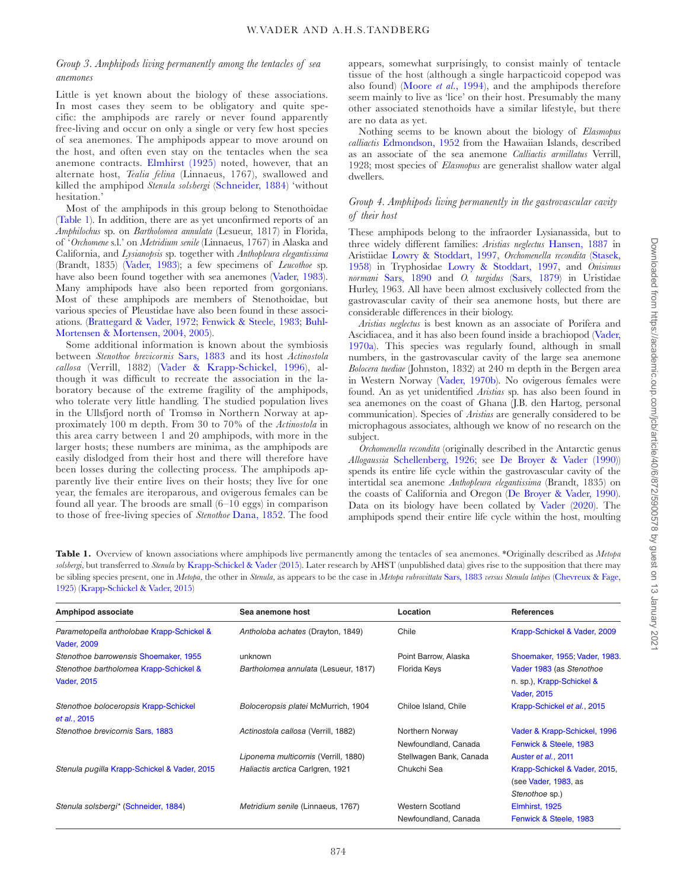#### *Group 3. Amphipods living permanently among the tentacles of sea anemones*

Little is yet known about the biology of these associations. In most cases they seem to be obligatory and quite specific: the amphipods are rarely or never found apparently free-living and occur on only a single or very few host species of sea anemones. The amphipods appear to move around on the host, and often even stay on the tentacles when the sea anemone contracts. [Elmhirst \(1925\)](#page-4-34) noted, however, that an alternate host, *Tealia felina* (Linnaeus, 1767), swallowed and killed the amphipod *Stenula solsbergi* ([Schneider, 1884\)](#page-5-32) 'without hesitation.'

Most of the amphipods in this group belong to Stenothoidae [\(Table 1](#page-2-0)). In addition, there are as yet unconfirmed reports of an *Amphilochus* sp. on *Bartholomea annulata* (Lesueur, 1817) in Florida, of '*Orchomene* s.l.' on *Metridium senile* (Linnaeus, 1767) in Alaska and California, and *Lysianopsis* sp. together with *Anthopleura elegantissima* (Brandt, 1835) [\(Vader, 1983\)](#page-5-0); a few specimens of *Leucothoe* sp. have also been found together with sea anemones ([Vader, 1983](#page-5-0)). Many amphipods have also been reported from gorgonians. Most of these amphipods are members of Stenothoidae, but various species of Pleustidae have also been found in these associations. ([Brattegard & Vader, 1972](#page-4-15); [Fenwick & Steele, 1983](#page-4-35); [Buhl-](#page-4-17)[Mortensen & Mortensen, 2004](#page-4-17), [2005](#page-4-18)).

Some additional information is known about the symbiosis between *Stenothoe brevicornis* [Sars, 1883](#page-5-33) and its host *Actinostola callosa* (Verrill, 1882) [\(Vader & Krapp-Schickel, 1996](#page-5-34)), although it was difficult to recreate the association in the laboratory because of the extreme fragility of the amphipods, who tolerate very little handling. The studied population lives in the Ullsfjord north of Tromsø in Northern Norway at approximately 100 m depth. From 30 to 70% of the *Actinostola* in this area carry between 1 and 20 amphipods, with more in the larger hosts; these numbers are minima, as the amphipods are easily dislodged from their host and there will therefore have been losses during the collecting process. The amphipods apparently live their entire lives on their hosts; they live for one year, the females are iteroparous, and ovigerous females can be found all year. The broods are small  $(6-10$  eggs) in comparison to those of free-living species of *Stenothoe* [Dana, 1852](#page-4-36). The food appears, somewhat surprisingly, to consist mainly of tentacle tissue of the host (although a single harpacticoid copepod was also found) ([Moore](#page-5-27) *et al.*, 1994), and the amphipods therefore seem mainly to live as 'lice' on their host. Presumably the many other associated stenothoids have a similar lifestyle, but there are no data as yet.

Nothing seems to be known about the biology of *Elasmopus calliactis* [Edmondson, 1952](#page-4-37) from the Hawaiian Islands, described as an associate of the sea anemone *Calliactis armillatus* Verrill, 1928; most species of *Elasmopus* are generalist shallow water algal dwellers.

#### *Group 4. Amphipods living permanently in the gastrovascular cavity of their host*

These amphipods belong to the infraorder Lysianassida, but to three widely different families: *Aristias neglectus* [Hansen, 1887](#page-4-38) in Aristiidae [Lowry & Stoddart, 1997](#page-5-35), *Orchomenella recondita* [\(Stasek,](#page-5-36) [1958\)](#page-5-36) in Tryphosidae [Lowry & Stoddart, 1997,](#page-5-35) and *Onisimus normani* [Sars, 1890](#page-5-16) and *O. turgidus* ([Sars, 1879](#page-5-37)) in Uristidae Hurley, 1963. All have been almost exclusively collected from the gastrovascular cavity of their sea anemone hosts, but there are considerable differences in their biology.

*Aristias neglectus* is best known as an associate of Porifera and Ascidiacea, and it has also been found inside a brachiopod [\(Vader,](#page-5-38) [1970a\)](#page-5-38). This species was regularly found, although in small numbers, in the gastrovascular cavity of the large sea anemone *Bolocera tuediae* (Johnston, 1832) at 240 m depth in the Bergen area in Western Norway [\(Vader, 1970b](#page-5-39)). No ovigerous females were found. An as yet unidentified *Aristias* sp. has also been found in sea anemones on the coast of Ghana (J.B. den Hartog, personal communication). Species of *Aristias* are generally considered to be microphagous associates, although we know of no research on the subject.

*Orchomenella recondita* (originally described in the Antarctic genus *Allogaussia* [Schellenberg, 1926](#page-5-40); see [De Broyer & Vader \(1990\)\)](#page-4-39) spends its entire life cycle within the gastrovascular cavity of the intertidal sea anemone *Anthopleura elegantissima* (Brandt, 1835) on the coasts of California and Oregon ([De Broyer & Vader, 1990\)](#page-4-39). Data on its biology have been collated by [Vader \(2020\)](#page-5-41). The amphipods spend their entire life cycle within the host, moulting

<span id="page-2-0"></span>**Table 1.** Overview of known associations where amphipods live permanently among the tentacles of sea anemones. \*Originally described as *Metopa solsbergi,* but transferred to *Stenula* by [Krapp-Schickel & Vader \(2015\)](#page-6-1). Later research by AHST (unpublished data) gives rise to the supposition that there may be sibling species present, one in *Metopa,* the other in *Stenula,* as appears to be the case in *Metopa rubrovittata* [Sars, 1883](#page-5-33) *versus Stenula latipes* [\(Chevreux & Fage,](#page-4-40) [1925](#page-4-40)) ([Krapp-Schickel & Vader, 2015](#page-6-1))

| Amphipod associate                           | Sea anemone host                     | Location                | <b>References</b>             |
|----------------------------------------------|--------------------------------------|-------------------------|-------------------------------|
| Parametopella antholobae Krapp-Schickel &    | Antholoba achates (Drayton, 1849)    | Chile                   | Krapp-Schickel & Vader, 2009  |
| <b>Vader, 2009</b>                           |                                      |                         |                               |
| Stenothoe barrowensis Shoemaker, 1955        | unknown                              | Point Barrow, Alaska    | Shoemaker, 1955; Vader, 1983. |
| Stenothoe bartholomea Krapp-Schickel &       | Bartholomea annulata (Lesueur, 1817) | Florida Keys            | Vader 1983 (as Stenothoe      |
| <b>Vader, 2015</b>                           |                                      |                         | n. sp.), Krapp-Schickel &     |
|                                              |                                      |                         | <b>Vader, 2015</b>            |
| Stenothoe boloceropsis Krapp-Schickel        | Boloceropsis platei McMurrich, 1904  | Chiloe Island, Chile    | Krapp-Schickel et al., 2015   |
| et al., 2015                                 |                                      |                         |                               |
| Stenothoe brevicornis Sars, 1883             | Actinostola callosa (Verrill, 1882)  | Northern Norway         | Vader & Krapp-Schickel, 1996  |
|                                              |                                      | Newfoundland, Canada    | Fenwick & Steele, 1983        |
|                                              | Liponema multicornis (Verrill, 1880) | Stellwagen Bank, Canada | Auster et al., 2011           |
| Stenula pugilla Krapp-Schickel & Vader, 2015 | Haliactis arctica Carlgren, 1921     | Chukchi Sea             | Krapp-Schickel & Vader, 2015, |
|                                              |                                      |                         | (see Vader, 1983, as          |
|                                              |                                      |                         | Stenothoe sp.)                |
| Stenula solsbergi* (Schneider, 1884)         | Metridium senile (Linnaeus, 1767)    | Western Scotland        | Elmhirst, 1925                |
|                                              |                                      | Newfoundland, Canada    | Fenwick & Steele, 1983        |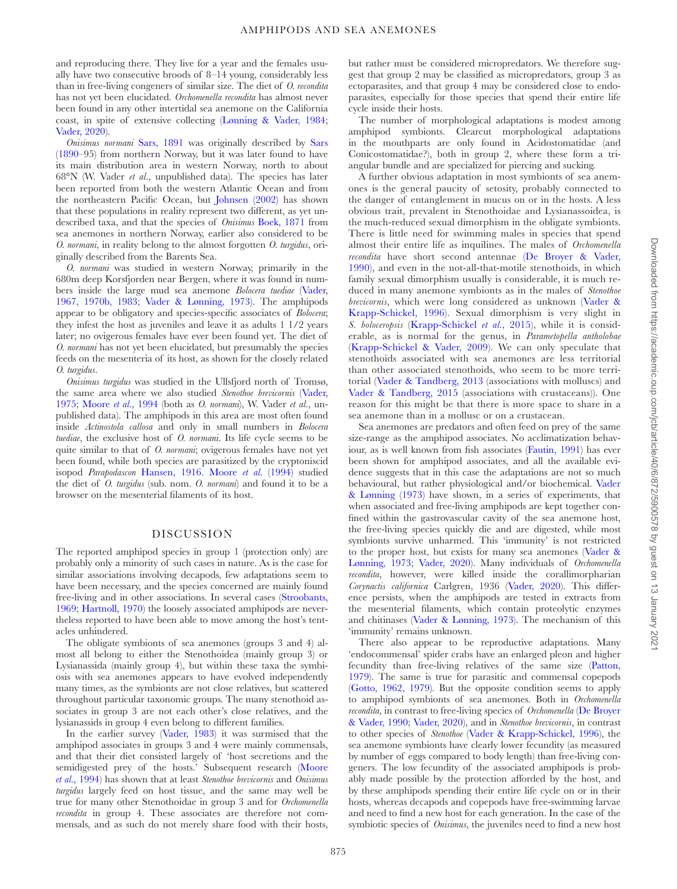and reproducing there. They live for a year and the females usually have two consecutive broods of 8–14 young, considerably less than in free-living congeners of similar size. The diet of *O. recondita* has not yet been elucidated. *Orchomenella recondita* has almost never been found in any other intertidal sea anemone on the California coast, in spite of extensive collecting ([Lønning & Vader, 1984](#page-5-7); [Vader, 2020\)](#page-5-41).

*Onisimus normani* [Sars, 1891](#page-5-16) was originally described by [Sars](#page-5-16)  [\(1890](#page-5-16)–95) from northern Norway, but it was later found to have its main distribution area in western Norway, north to about 68°N (W. Vader *et al*., unpublished data). The species has later been reported from both the western Atlantic Ocean and from the northeastern Pacific Ocean, but [Johnsen \(2002\)](#page-4-42) has shown that these populations in reality represent two different, as yet undescribed taxa, and that the species of *Onisimus* [Boek, 1871](#page-4-25) from sea anemones in northern Norway, earlier also considered to be *O. normani*, in reality belong to the almost forgotten *O. turgidus*, originally described from the Barents Sea.

*O. normani* was studied in western Norway, primarily in the 680m deep Korsfjorden near Bergen, where it was found in numbers inside the large mud sea anemone *Bolocera tuediae* ([Vader,](#page-5-30)  [1967](#page-5-30), [1970b](#page-5-39), [1983](#page-5-0); [Vader & Lønning, 1973](#page-6-9)). The amphipods appear to be obligatory and species-specific associates of *Bolocera*; they infest the host as juveniles and leave it as adults 1 1/2 years later; no ovigerous females have ever been found yet. The diet of *O. normani* has not yet been elucidated, but presumably the species feeds on the mesenteria of its host, as shown for the closely related *O. turgidus*.

*Onisimus turgidus* was studied in the Ullsfjord north of Tromsø, the same area where we also studied *Stenothoe brevicornis* ([Vader,](#page-5-45)  [1975](#page-5-45); [Moore](#page-5-27) *et al.*, 1994 (both as *O. normani*), W. Vader *et al*., unpublished data). The amphipods in this area are most often found inside *Actinostola callosa* and only in small numbers in *Bolocera tuediae*, the exclusive host of *O. normani*. Its life cycle seems to be quite similar to that of *O. normani*; ovigerous females have not yet been found, while both species are parasitized by the cryptoniscid isopod *Parapodascon* [Hansen, 1916](#page-4-43). Moore *et al.* [\(1994\)](#page-5-27) studied the diet of *O. turgidus* (sub. nom. *O. normani*) and found it to be a browser on the mesenterial filaments of its host.

#### DISCUSSION

The reported amphipod species in group 1 (protection only) are probably only a minority of such cases in nature. As is the case for similar associations involving decapods, few adaptations seem to have been necessary, and the species concerned are mainly found free-living and in other associations. In several cases ([Stroobants,](#page-5-11)  [1969](#page-5-11); [Hartnoll, 1970\)](#page-4-8) the loosely associated amphipods are nevertheless reported to have been able to move among the host's tentacles unhindered.

The obligate symbionts of sea anemones (groups 3 and 4) almost all belong to either the Stenothoidea (mainly group 3) or Lysianassida (mainly group 4), but within these taxa the symbiosis with sea anemones appears to have evolved independently many times, as the symbionts are not close relatives, but scattered throughout particular taxonomic groups. The many stenothoid associates in group 3 are not each other's close relatives, and the lysianassids in group 4 even belong to different families.

In the earlier survey ([Vader, 1983](#page-5-0)) it was surmised that the amphipod associates in groups 3 and 4 were mainly commensals, and that their diet consisted largely of 'host secretions and the semidigested prey of the hosts.' Subsequent research [\(Moore](#page-5-27)  *et al.*[, 1994\)](#page-5-27) has shown that at least *Stenothoe brevicornis* and *Onisimus turgidus* largely feed on host tissue, and the same may well be true for many other Stenothoidae in group 3 and for *Orchomenella recondita* in group 4. These associates are therefore not commensals, and as such do not merely share food with their hosts,

but rather must be considered micropredators. We therefore suggest that group 2 may be classified as micropredators, group 3 as ectoparasites, and that group 4 may be considered close to endoparasites, especially for those species that spend their entire life cycle inside their hosts.

The number of morphological adaptations is modest among amphipod symbionts. Clearcut morphological adaptations in the mouthparts are only found in Acidostomatidae (and Conicostomatidae?), both in group 2, where these form a triangular bundle and are specialized for piercing and sucking.

A further obvious adaptation in most symbionts of sea anemones is the general paucity of setosity, probably connected to the danger of entanglement in mucus on or in the hosts. A less obvious trait, prevalent in Stenothoidae and Lysianassoidea, is the much-reduced sexual dimorphism in the obligate symbionts. There is little need for swimming males in species that spend almost their entire life as inquilines. The males of *Orchomenella recondita* have short second antennae ([De Broyer & Vader,](#page-4-39) [1990](#page-4-39)), and even in the not-all-that-motile stenothoids, in which family sexual dimorphism usually is considerable, it is much reduced in many anemone symbionts as in the males of *Stenothoe brevicornis*, which were long considered as unknown [\(Vader &](#page-5-34) [Krapp-Schickel, 1996](#page-5-34)). Sexual dimorphism is very slight in *S. boloceropsis* [\(Krapp-Schickel](#page-5-44) *et al.*, 2015), while it is considerable, as is normal for the genus, in *Parametopella antholobae* ([Krapp-Schickel & Vader, 2009](#page-5-42)). We can only speculate that stenothoids associated with sea anemones are less territorial than other associated stenothoids, who seem to be more territorial [\(Vader & Tandberg, 2013](#page-6-0) (associations with molluscs) and [Vader & Tandberg, 2015](#page-6-1) (associations with crustaceans)). One reason for this might be that there is more space to share in a sea anemone than in a mollusc or on a crustacean.

Sea anemones are predators and often feed on prey of the same size-range as the amphipod associates. No acclimatization behaviour, as is well known from fish associates [\(Fautin, 1991\)](#page-4-0) has ever been shown for amphipod associates, and all the available evidence suggests that in this case the adaptations are not so much behavioural, but rather physiological and/or biochemical. [Vader](#page-6-9) [& Lønning \(1973\)](#page-6-9) have shown, in a series of experiments, that when associated and free-living amphipods are kept together confined within the gastrovascular cavity of the sea anemone host, the free-living species quickly die and are digested, while most symbionts survive unharmed. This 'immunity' is not restricted to the proper host, but exists for many sea anemones [\(Vader &](#page-6-9) [Lønning, 1973;](#page-6-9) [Vader, 2020\)](#page-5-41). Many individuals of *Orchomenella recondita*, however, were killed inside the corallimorpharian *Corynactis californica* Carlgren, 1936 ([Vader, 2020](#page-5-41)). This difference persists, when the amphipods are tested in extracts from the mesenterial filaments, which contain proteolytic enzymes and chitinases [\(Vader & Lønning, 1973\)](#page-6-9). The mechanism of this 'immunity' remains unknown.

There also appear to be reproductive adaptations. Many 'endocommensal' spider crabs have an enlarged pleon and higher fecundity than free-living relatives of the same size [\(Patton,](#page-5-46) [1979\)](#page-5-46). The same is true for parasitic and commensal copepods ([Gotto, 1962,](#page-4-44) [1979](#page-4-4)). But the opposite condition seems to apply to amphipod symbionts of sea anemones. Both in *Orchomenella recondita,* in contrast to free-living species of *Orchomenella* [\(De Broyer](#page-4-39) [& Vader, 1990;](#page-4-39) [Vader, 2020](#page-5-41)), and in *Stenothoe brevicornis*, in contrast to other species of *Stenothoe* ([Vader & Krapp-Schickel, 1996](#page-5-34)), the sea anemone symbionts have clearly lower fecundity (as measured by number of eggs compared to body length) than free-living congeners. The low fecundity of the associated amphipods is probably made possible by the protection afforded by the host, and by these amphipods spending their entire life cycle on or in their hosts, whereas decapods and copepods have free-swimming larvae and need to find a new host for each generation. In the case of the symbiotic species of *Onisimus*, the juveniles need to find a new host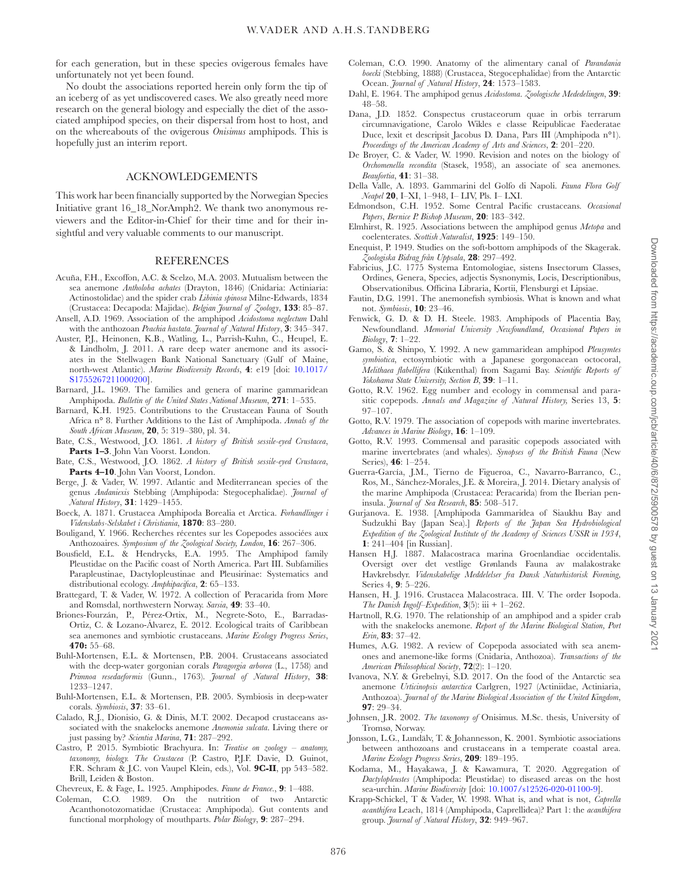for each generation, but in these species ovigerous females have unfortunately not yet been found.

No doubt the associations reported herein only form the tip of an iceberg of as yet undiscovered cases. We also greatly need more research on the general biology and especially the diet of the associated amphipod species, on their dispersal from host to host, and on the whereabouts of the ovigerous *Onisimus* amphipods. This is hopefully just an interim report.

#### ACKNOWLEDGEMENTS

This work har been financially supported by the Norwegian Species Initiative grant 16\_18\_NorAmph2. We thank two anonymous reviewers and the Editor-in-Chief for their time and for their insightful and very valuable comments to our manuscript.

#### REFERENCES

- <span id="page-4-9"></span>Acuña, F.H., Excoffon, A.C. & Scelzo, M.A. 2003. Mutualism between the sea anemone *Antholoba achates* (Drayton, 1846) (Cnidaria: Actiniaria: Actinostolidae) and the spider crab *Libinia spinosa* Milne-Edwards, 1834 (Crustacea: Decapoda: Majidae). *Belgian Journal of Zoology*, **133**: 85–87.
- <span id="page-4-30"></span>Ansell, A.D. 1969. Association of the amphipod *Acidostoma neglectum* Dahl with the anthozoan *Peachia hastata*. *Journal of Natural History*, **3**: 345–347.
- <span id="page-4-41"></span>Auster, P.J., Heinonen, K.B., Watling, L., Parrish-Kuhn, C., Heupel, E. & Lindholm, J. 2011. A rare deep water anemone and its associates in the Stellwagen Bank National Sanctuary (Gulf of Maine, north-west Atlantic). *Marine Biodiversity Records*, **4**: e19 [doi: [10.1017/](https://doi.org/10.1017/S1755267211000200) [S1755267211000200](https://doi.org/10.1017/S1755267211000200)].
- <span id="page-4-14"></span>Barnard, J.L. 1969. The families and genera of marine gammaridean Amphipoda. *Bulletin of the United States National Museum*, **271**: 1–535.
- <span id="page-4-33"></span>Barnard, K.H. 1925. Contributions to the Crustacean Fauna of South Africa n° 8. Further Additions to the List of Amphipoda. *Annals of the South African Museum*, **20**, 5: 319–380, pl. 34.
- <span id="page-4-31"></span>Bate, C.S., Westwood, J.O. 1861. *A history of British sessile-eyed Crustacea*, Parts 1-3. John Van Voorst. London.
- <span id="page-4-21"></span>Bate, C.S., Westwood, J.O. 1862. *A history of British sessile-eyed Crustacea*, Parts 4-10. John Van Voorst, London.
- <span id="page-4-26"></span>Berge, J. & Vader, W. 1997. Atlantic and Mediterranean species of the genus *Andaniexis* Stebbing (Amphipoda: Stegocephalidae). *Journal of Natural History*, **31**: 1429–1455.
- <span id="page-4-25"></span>Boeck, A. 1871. Crustacea Amphipoda Borealia et Arctica. *Forhandlinger i Videnskabs-Selskabet i Christiania*, **1870**: 83–280.
- <span id="page-4-3"></span>Bouligand, Y. 1966. Recherches récentes sur les Copepodes associées aux Anthozoaires. *Symposium of the Zoological Society, London*, **16**: 267–306.
- <span id="page-4-13"></span>Bousfield, E.L. & Hendrycks, E.A. 1995. The Amphipod family Pleustidae on the Pacific coast of North America. Part III. Subfamilies Parapleustinae, Dactylopleustinae and Pleusirinae: Systematics and distributional ecology. *Amphipacifica*, **2**: 65–133.
- <span id="page-4-15"></span>Brattegard, T. & Vader, W. 1972. A collection of Peracarida from Møre and Romsdal, northwestern Norway. *Sarsia*, **49**: 33–40.
- <span id="page-4-2"></span>Briones-Fourzán, P., Pérez-Ortix, M., Negrete-Soto, E., Barradas-Ortiz, C. & Lozano-Álvarez, E. 2012. Ecological traits of Caribbean sea anemones and symbiotic crustaceans. *Marine Ecology Progress Series*, **470:** 55–68.
- <span id="page-4-17"></span>Buhl-Mortensen, E.L. & Mortensen, P.B. 2004. Crustaceans associated with the deep-water gorgonian corals *Paragorgia arborea* (L., 1758) and *Primnoa resedaeformis* (Gunn., 1763). *Journal of Natural History*, **38**: 1233–1247.
- <span id="page-4-18"></span>Buhl-Mortensen, E.L. & Mortensen, P.B. 2005. Symbiosis in deep-water corals. *Symbiosis*, **37**: 33–61.
- <span id="page-4-1"></span>Calado, R.J., Dionisio, G. & Dinis, M.T. 2002. Decapod crustaceans associated with the snakelocks anemone *Anemonia sulcata*. Living there or just passing by? *Scientia Marina*, **71**: 287–292.
- <span id="page-4-10"></span>Castro, P. 2015. Symbiotic Brachyura. In: *Treatise on zoology – anatomy, taxonomy, biology. The Crustacea* (P. Castro, P.J.F. Davie, D. Guinot, F.R. Schram & J.C. von Vaupel Klein, eds.), Vol. **9C-II**, pp 543–582. Brill, Leiden & Boston.
- <span id="page-4-40"></span>Chevreux, E. & Fage, L. 1925. Amphipodes. *Faune de France.*, **9**: 1–488.
- <span id="page-4-27"></span>Coleman, C.O. 1989. On the nutrition of two Antarctic Acanthonotozomatidae (Crustacea: Amphipoda). Gut contents and functional morphology of mouthparts. *Polar Biology*, **9**: 287–294.
- <span id="page-4-24"></span>Coleman, C.O. 1990. Anatomy of the alimentary canal of *Parandania boecki* (Stebbing, 1888) (Crustacea, Stegocephalidae) from the Antarctic Ocean. *Journal of Natural History*, **24**: 1573–1583.
- <span id="page-4-28"></span>Dahl, E. 1964. The amphipod genus *Acidostoma*. *Zoologische Mededelingen*, **39**: 48–58.
- <span id="page-4-36"></span>Dana, J.D. 1852. Conspectus crustaceorum quae in orbis terrarum circumnavigatione, Carolo Wikles e classe Reipublicae Faederatae Duce, lexit et descripsit Jacobus D. Dana, Pars III (Amphipoda n°1). *Proceedings of the American Academy of Arts and Sciences*, **2**: 201–220.
- <span id="page-4-39"></span>De Broyer, C. & Vader, W. 1990. Revision and notes on the biology of *Orchomenella recondita* (Stasek, 1958), an associate of sea anemones. *Beaufortia*, **41**: 31–38.
- <span id="page-4-29"></span>Della Valle, A. 1893. Gammarini del Golfo di Napoli. *Fauna Flora Golf Neapel* **20**, I–XI, 1–948, I– LIV, Pls. I– LXI.
- <span id="page-4-37"></span>Edmondson, C.H. 1952. Some Central Pacific crustaceans. *Occasional Papers*, *Bernice P. Bishop Museum*, **20**: 183–342.
- <span id="page-4-34"></span>Elmhirst, R. 1925. Associations between the amphipod genus *Metopa* and coelenterates. *Scottish Naturalist*, **1925**: 149–150.
- <span id="page-4-22"></span>Enequist, P. 1949. Studies on the soft-bottom amphipods of the Skagerak. *Zoologiska Bidrag från Uppsala*, **28**: 297–492.
- <span id="page-4-12"></span>Fabricius, J.C. 1775 Systema Entomologiae, sistens Insectorum Classes, Ordines, Genera, Species, adjectis Sysnonymis, Locis, Descriptionibus, Observationibus. Officina Libraria, Kortii, Flensburgi et Lipsiae.
- <span id="page-4-0"></span>Fautin, D.G. 1991. The anemonefish symbiosis. What is known and what not. *Symbiosis*, **10**: 23–46.
- <span id="page-4-35"></span>Fenwick, G. D. & D. H. Steele. 1983. Amphipods of Placentia Bay, Newfoundland. *Memorial University Newfoundland, Occasional Papers in Biology*, **7**: 1–22.
- <span id="page-4-16"></span>Gamo, S. & Shinpo, Y. 1992. A new gammaridean amphipod *Pleusymtes symbiotica*, ectosymbiotic with a Japanese gorgonacean octocoral, *Melithaea flabellifera* (Kükenthal) from Sagami Bay. *Scientific Reports of Yokohama State University, Section B*, **39**: 1–11.
- <span id="page-4-44"></span>Gotto, R.V. 1962. Egg number and ecology in commensal and parasitic copepods. *Annals and Magazine of Natural History,* Series 13, **5**: 97–107.
- <span id="page-4-4"></span>Gotto, R.V. 1979. The association of copepods with marine invertebrates. *Advances in Marine Biology*, **16**: 1–109.
- <span id="page-4-5"></span>Gotto, R.V. 1993. Commensal and parasitic copepods associated with marine invertebrates (and whales). *Synopses of the British Fauna* (New Series), **46**: 1–254.
- <span id="page-4-23"></span>Guerra-García, J.M., Tierno de Figueroa, C., Navarro-Barranco, C., Ros, M., Sánchez-Morales, J.E. & Moreira, J. 2014. Dietary analysis of the marine Amphipoda (Crustacea: Peracarida) from the Iberian peninsula. *Journal of Sea Research*, **85**: 508–517.
- <span id="page-4-19"></span>Gurjanova. E. 1938. [Amphipoda Gammaridea of Siaukhu Bay and Sudzukhi Bay (Japan Sea).] *Reports of the Japan Sea Hydrobiological Expedition of the Zoological Institute of the Academy of Sciences USSR in 1934*, **1**: 241–404 [in Russian].
- <span id="page-4-38"></span>Hansen H.J. 1887. Malacostraca marina Groenlandiae occidentalis. Oversigt over det vestlige Gr*ø*nlands Fauna av malakostrake Havkrebsdyr. *Videnskabelige Meddelelser fra Dansk Naturhistorisk Forening,* Series 4, **9**: 5–226.
- <span id="page-4-43"></span>Hansen, H. J. 1916. Crustacea Malacostraca. III. V. The order Isopoda. *The Danish Ingolf–Expedition*,  $3(5)$ : iii + 1–262.
- <span id="page-4-8"></span>Hartnoll, R.G. 1970. The relationship of an amphipod and a spider crab with the snakelocks anemone. *Report of the Marine Biological Station, Port Erin,* **83**: 37–42.
- <span id="page-4-6"></span>Humes, A.G. 1982. A review of Copepoda associated with sea anemones and anemone-like forms (Cnidaria, Anthozoa). *Transactions of the American Philosophical Society*, **72**(2): 1–120.
- <span id="page-4-32"></span>Ivanova, N.Y. & Grebelnyi, S.D. 2017. On the food of the Antarctic sea anemone *Urticinopsis antarctica* Carlgren, 1927 (Actiniidae, Actiniaria, Anthozoa). *Journal of the Marine Biological Association of the United Kingdom*, **97**: 29–34.
- <span id="page-4-42"></span>Johnsen, J.R. 2002. *The taxonomy of* Onisimus. M.Sc. thesis, University of Tromsø, Norway.
- <span id="page-4-7"></span>Jonsson, L.G., Lundälv, T. & Johannesson, K. 2001. Symbiotic associations between anthozoans and crustaceans in a temperate coastal area. *Marine Ecology Progress Series*, **209**: 189–195.
- <span id="page-4-20"></span>Kodama, M., Hayakawa, J. & Kawamura, T. 2020. Aggregation of *Dactylopleustes* (Amphipoda: Pleustidae) to diseased areas on the host sea-urchin. *Marine Biodiversity* [doi: [10.1007/s12526-020-01100-9\]](https://doi.org/10.1007/s12526-020-01100-9).
- <span id="page-4-11"></span>Krapp-Schickel, T & Vader, W. 1998. What is, and what is not, *Caprella acanthifera* Leach, 1814 (Amphipoda, Caprellidea)? Part 1: the *acanthifera* group. *Journal of Natural History*, **32**: 949–967.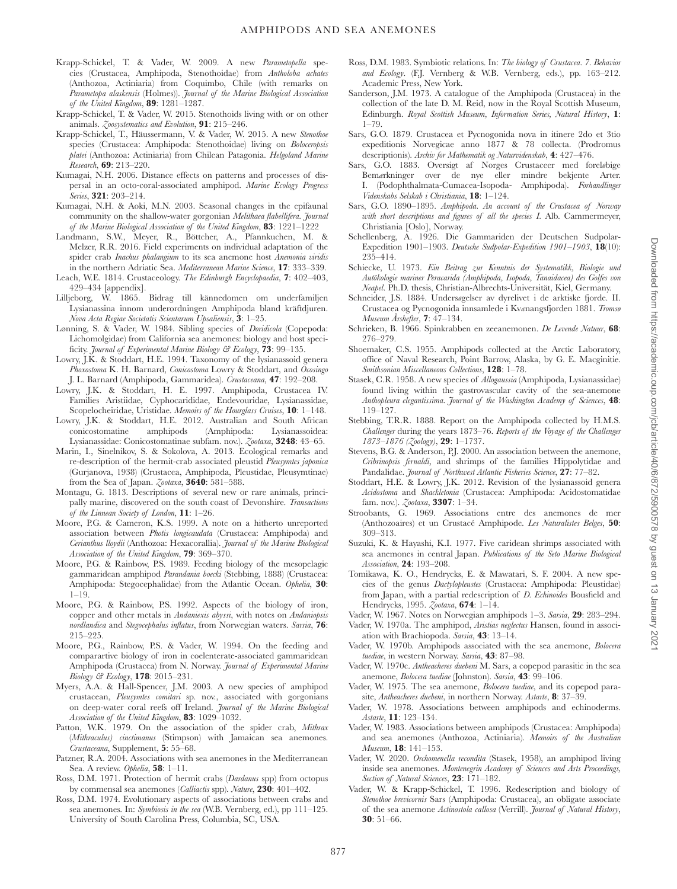- <span id="page-5-42"></span>Krapp-Schickel, T. & Vader, W. 2009. A new *Parametopella* species (Crustacea, Amphipoda, Stenothoidae) from *Antholoba achates* (Anthozoa, Actiniaria) from Coquimbo, Chile (with remarks on *Parametopa alaskensis* (Holmes)). *Journal of the Marine Biological Association of the United Kingdom*, **89**: 1281–1287.
- Krapp-Schickel, T. & Vader, W. 2015. Stenothoids living with or on other animals. *Zoosystematics and Evolution*, **91**: 215–246.
- <span id="page-5-44"></span>Krapp-Schickel, T., Häussermann, V. & Vader, W. 2015. A new *Stenothoe* species (Crustacea: Amphipoda: Stenothoidae) living on *Boloceropsis platei* (Anthozoa: Actiniaria) from Chilean Patagonia. *Helgoland Marine Research*, **69**: 213–220.
- <span id="page-5-19"></span>Kumagai, N.H. 2006. Distance effects on patterns and processes of dispersal in an octo-coral-associated amphipod. *Marine Ecology Progress Series*, **321**: 203–214.
- <span id="page-5-17"></span>Kumagai, N.H. & Aoki, M.N. 2003. Seasonal changes in the epifaunal community on the shallow-water gorgonian *Melithaea flabellifera*. *Journal of the Marine Biological Association of the United Kingdom*, **83**: 1221–1222
- <span id="page-5-2"></span>Landmann, S.W., Meyer, R., Böttcher, A., Pfannkuchen, M. & Melzer, R.R. 2016. Field experiments on individual adaptation of the spider crab *Inachus phalangium* to its sea anemone host *Anemonia viridis* in the northern Adriatic Sea. *Mediterranean Marine Science*, **17**: 333–339.
- <span id="page-5-10"></span>Leach, W.E. 1814. Crustaceology. *The Edinburgh Encyclopaedia*, **7**: 402–403, 429–434 [appendix].
- <span id="page-5-29"></span>Lilljeborg, W. 1865. Bidrag till kännedomen om underfamiljen Lysianassina innom underordningen Amphipoda bland kräftdjuren. *Nova Acta Regiae Societatis Scientarum Upsaliensis*, **3**: 1–25.
- <span id="page-5-7"></span>Lønning, S. & Vader, W. 1984. Sibling species of *Doridicola* (Copepoda: Lichomolgidae) from California sea anemones: biology and host specificity. *Journal of Experimental Marine Biology & Ecology*, **73**: 99–135.
- <span id="page-5-31"></span>Lowry, I.K. & Stoddart, H.E. 1994. Taxonomy of the lysianassoid genera *Phoxostoma* K. H. Barnard, *Conicostoma* Lowry & Stoddart, and *Ocosingo* J. L. Barnard (Amphipoda, Gammaridea). *Crustaceana*, **47**: 192–208.
- <span id="page-5-35"></span>Lowry, J.K. & Stoddart, H. E. 1997. Amphipoda, Crustacea IV. Families Aristiidae, Cyphocarididae, Endevouridae, Lysianassidae, Scopelocheiridae, Uristidae. *Memoirs of the Hourglass Cruises*, **10**: 1–148.
- Lowry, J.K. & Stoddart, H.E. 2012. Australian and South African conicostomatine amphipods (Amphipoda: Lysianassoidea: Lysianassidae: Conicostomatinae subfam. nov.). *Zootaxa*, **3248**: 43–65.
- <span id="page-5-20"></span>Marin, I., Sinelnikov, S. & Sokolova, A. 2013. Ecological remarks and re-description of the hermit-crab associated pleustid *Pleusymtes japonica* (Gurjanova, 1938) (Crustacea, Amphipoda, Pleustidae, Pleusymtinae) from the Sea of Japan. *Zootaxa*, **3640**: 581–588.
- <span id="page-5-13"></span>Montagu, G. 1813. Descriptions of several new or rare animals, principally marine, discovered on the south coast of Devonshire. *Transactions of the Linnean Society of London*, **11**: 1–26.
- <span id="page-5-22"></span>Moore, P.G. & Cameron, K.S. 1999. A note on a hitherto unreported association between *Photis longicaudata* (Crustacea: Amphipoda) and *Cerianthus lloydii* (Anthozoa: Hexacorallia). *Journal of the Marine Biological Association of the United Kingdom*, **79**: 369–370.
- <span id="page-5-25"></span>Moore, P.G. & Rainbow, P.S. 1989. Feeding biology of the mesopelagic gammaridean amphipod *Parandania boecki* (Stebbing, 1888) (Crustacea: Amphipoda: Stegocephalidae) from the Atlantic Ocean. *Ophelia*, **30**: 1–19.
- <span id="page-5-26"></span>Moore, P.G. & Rainbow, P.S. 1992. Aspects of the biology of iron, copper and other metals in *Andaniexis abyssi*, with notes on *Andaniopsis nordlandica* and *Stegocephalus inflatus*, from Norwegian waters. *Sarsia*, **76**: 215–225.
- <span id="page-5-27"></span>Moore, P.G., Rainbow, P.S. & Vader, W. 1994. On the feeding and comparartive biology of iron in coelenterate-associated gammaridean Amphipoda (Crustacea) from N. Norway. *Journal of Experimental Marine Biology & Ecology*, **178**: 2015–231.
- <span id="page-5-18"></span>Myers, A.A. & Hall-Spencer, J.M. 2003. A new species of amphipod crustacean, *Pleusymtes comitari* sp. nov., associated with gorgonians on deep-water coral reefs off Ireland. *Journal of the Marine Biological Association of the United Kingdom*, **83**: 1029–1032.
- <span id="page-5-46"></span>Patton, W.K. 1979. On the association of the spider crab, *Mithrax* (*Mithraculus) cinctimanus* (Stimpson) with Jamaican sea anemones. *Crustaceana*, Supplement, **5**: 55–68.
- <span id="page-5-12"></span>Patzner, R.A. 2004. Associations with sea anemones in the Mediterranean Sea. A review. *Ophelia*, **58**: 1–11.
- <span id="page-5-4"></span>Ross, D.M. 1971. Protection of hermit crabs (*Dardanus* spp) from octopus by commensal sea anemones (*Calliactis* spp). *Nature*, **230**: 401–402.
- <span id="page-5-5"></span>Ross, D.M. 1974. Evolutionary aspects of associations between crabs and sea anemones. In: *Symbiosis in the sea* (W.B. Vernberg, ed.), pp 111–125. University of South Carolina Press, Columbia, SC, USA.
- <span id="page-5-1"></span>Ross, D.M. 1983. Symbiotic relations. In: *The biology of Crustacea. 7. Behavior and Ecology*. (F.J. Vernberg & W.B. Vernberg, eds.), pp. 163–212. Academic Press, New York.
- <span id="page-5-14"></span>Sanderson, J.M. 1973. A catalogue of the Amphipoda (Crustacea) in the collection of the late D. M. Reid, now in the Royal Scottish Museum, Edinburgh. *Royal Scottish Museum, Information Series, Natural History*, **1**: 1–79.
- <span id="page-5-37"></span>Sars, G.O. 1879. Crustacea et Pycnogonida nova in itinere 2do et 3tio expeditionis Norvegicae anno 1877 & 78 collecta. (Prodromus descriptionis). *Archiv for Mathematik og Naturvidenskab*, **4**: 427–476.
- <span id="page-5-33"></span>Sars, G.O. 1883. Oversigt af Norges Crustaceer med forel*ø*bige Bem*æ*rkninger over de nye eller mindre bekjente Arter. I. (Podophthalmata-Cumacea-Isopoda- Amphipoda). *Forhandlinger Videnskabs Selskab i Christiania*, **18**: 1–124.
- <span id="page-5-16"></span>Sars, G.O. 1890–1895. *Amphipoda. An account of the Crustacea of Norway with short descriptions and figures of all the species I.* Alb. Cammermeyer, Christiania [Oslo], Norway.
- <span id="page-5-40"></span>Schellenberg, A. 1926. Die Gammariden der Deutschen Sudpolar-Expedition 1901–1903. *Deutsche Sudpolar-Expedition 1901–1903*, **18**(10): 235–414.
- <span id="page-5-23"></span>Schiecke, U. 1973. *Ein Beitrag zur Kenntnis der Systematikk, Biologie und Autökologie mariner Peracarida (Amphipoda, Isopoda, Tanaidacea) des Golfes von Neapel*. Ph.D. thesis, Christian-Albrechts-Universität, Kiel, Germany.
- <span id="page-5-32"></span>Schneider, J.S. 1884. Unders*ø*gelser av dyrelivet i de arktiske fjorde. II. Crustacea og Pycnogonida innsamlede i Kv*æ*nangsfjorden 1881. *Tromsø Museum Årshefter*, **7**: 47–134.
- <span id="page-5-9"></span>Schrieken, B. 1966. Spinkrabben en zeeanemonen. *De Levende Natuur*, **68**: 276–279.
- <span id="page-5-43"></span>Shoemaker, C.S. 1955. Amphipods collected at the Arctic Laboratory, office of Naval Research, Point Barrow, Alaska, by G. E. Macginitie. *Smithsonian Miscellaneous Collections*, **128**: 1–78.
- <span id="page-5-36"></span>Stasek, C.R. 1958. A new species of *Allogaussia* (Amphipoda, Lysianassidae) found living within the gastrovascular cavity of the sea-anemone *Anthopleura elegantissima. Journal of the Washington Academy of Sciences*, **48**: 119–127.
- <span id="page-5-24"></span>Stebbing, T.R.R. 1888. Report on the Amphipoda collected by H.M.S. *Challenger* during the years 1873–76. *Reports of the Voyage of the Challenger 1873–1876 (Zoology)*, **29**: 1–1737.
- <span id="page-5-8"></span>Stevens, B.G. & Anderson, P.J. 2000. An association between the anemone, *Cribrinopsis fernaldi*, and shrimps of the families Hippolytidae and Pandalidae. *Journal of Northwest Atlantic Fisheries Science*, **27**: 77–82.
- <span id="page-5-28"></span>Stoddart, H.E. & Lowry, J.K. 2012. Revision of the lysianassoid genera *Acidostoma* and *Shackletonia* (Crustacea: Amphipoda: Acidostomatidae fam. nov.). *Zootaxa*, **3307**: 1–34.
- <span id="page-5-11"></span>Stroobants, G. 1969. Associations entre des anemones de mer (Anthozoaires) et un Crustacé Amphipode. *Les Naturalistes Belges*, **50**: 309–313.
- <span id="page-5-6"></span>Suzuki, K. & Hayashi, K.I. 1977. Five caridean shrimps associated with sea anemones in central Japan. *Publications of the Seto Marine Biological Association,* **24**: 193–208.
- <span id="page-5-21"></span>Tomikawa, K. O., Hendrycks, E. & Mawatari, S. F. 2004. A new species of the genus *Dactylopleustes* (Crustacea: Amphipoda: Pleustidae) from Japan, with a partial redescription of *D. Echinoides* Bousfield and Hendrycks, 1995. *Zootaxa*, **674**: 1–14.
- <span id="page-5-30"></span>Vader, W. 1967. Notes on Norwegian amphipods 1–3. *Sarsia*, **29**: 283–294.
- <span id="page-5-38"></span>Vader, W. 1970a. The amphipod, *Aristias neglectus* Hansen, found in association with Brachiopoda. *Sarsia*, **43**: 13–14.
- <span id="page-5-39"></span>Vader, W. 1970b. Amphipods associated with the sea anemone, *Bolocera tuediae*, in western Norway. *Sarsia*, **43**: 87–98.
- <span id="page-5-3"></span>Vader, W. 1970c. *Antheacheres duebeni* M. Sars, a copepod parasitic in the sea anemone, *Bolocera tuediae* (Johnston). *Sarsia*, **43**: 99–106.
- <span id="page-5-45"></span>Vader, W. 1975. The sea anemone, *Bolocera tuediae*, and its copepod parasite, *Antheacheres duebeni*, in northern Norway. *Astarte*, **8**: 37–39.
- <span id="page-5-15"></span>Vader, W. 1978. Associations between amphipods and echinoderms. *Astarte*, **11**: 123–134.
- <span id="page-5-0"></span>Vader, W. 1983. Associations between amphipods (Crustacea: Amphipoda) and sea anemones (Anthozoa, Actiniaria). *Memoirs of the Australian Museum*, **18**: 141–153.
- <span id="page-5-41"></span>Vader, W. 2020. *Orchomenella recondita* (Stasek, 1958), an amphipod living inside sea anemones. *Montenegrin Academy of Sciences and Arts Proceedings, Section of Natural Sciences*, **23**: 171–182.
- <span id="page-5-34"></span>Vader, W. & Krapp-Schickel, T. 1996. Redescription and biology of *Stenothoe brevicornis* Sars (Amphipoda: Crustacea), an obligate associate of the sea anemone *Actinostola callosa* (Verrill). *Journal of Natural History*, **30**: 51–66.